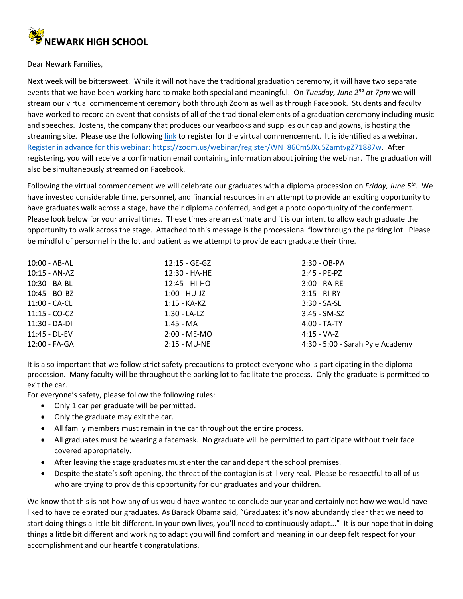

Dear Newark Families,

Next week will be bittersweet. While it will not have the traditional graduation ceremony, it will have two separate events that we have been working hard to make both special and meaningful. On *Tuesday, June 2nd at 7pm* we will stream our virtual commencement ceremony both through Zoom as well as through Facebook. Students and faculty have worked to record an event that consists of all of the traditional elements of a graduation ceremony including music and speeches. Jostens, the company that produces our yearbooks and supplies our cap and gowns, is hosting the streaming site. Please use the followin[g link](https://zoom.us/webinar/register/WN_86CmSJXuSZamtvgZ71887w) to register for the virtual commencement. It is identified as a webinar. [Register in advance for this webinar:](https://zoom.us/webinar/register/WN_86CmSJXuSZamtvgZ71887w) [https://zoom.us/webinar/register/WN\\_86CmSJXuSZamtvgZ71887w.](https://zoom.us/webinar/register/WN_86CmSJXuSZamtvgZ71887w) After registering, you will receive a confirmation email containing information about joining the webinar. The graduation will also be simultaneously streamed on Facebook.

Following the virtual commencement we will celebrate our graduates with a diploma procession on *Friday, June 5th*. We have invested considerable time, personnel, and financial resources in an attempt to provide an exciting opportunity to have graduates walk across a stage, have their diploma conferred, and get a photo opportunity of the conferment. Please look below for your arrival times. These times are an estimate and it is our intent to allow each graduate the opportunity to walk across the stage. Attached to this message is the processional flow through the parking lot. Please be mindful of personnel in the lot and patient as we attempt to provide each graduate their time.

| $12:15 - GE-GZ$ | 2:30 - OB-PA                     |
|-----------------|----------------------------------|
| 12:30 - HA-HE   | $2:45 - PE-PZ$                   |
| 12:45 - HI-HO   | $3:00 - R$ A-RE                  |
| $1:00 - HU-JZ$  | $3:15 - RI-RY$                   |
| $1:15 - KA-KZ$  | $3:30 - SA-SL$                   |
| 1:30 - LA-LZ    | $3:45 - SM-SZ$                   |
| $1:45 - MA$     | $4:00 - TA-TY$                   |
| 2:00 - ME-MO    | $4:15 - VA-Z$                    |
| $2:15 - MU-NE$  | 4:30 - 5:00 - Sarah Pyle Academy |
|                 |                                  |

It is also important that we follow strict safety precautions to protect everyone who is participating in the diploma procession. Many faculty will be throughout the parking lot to facilitate the process. Only the graduate is permitted to exit the car.

For everyone's safety, please follow the following rules:

- Only 1 car per graduate will be permitted.
- Only the graduate may exit the car.
- All family members must remain in the car throughout the entire process.
- All graduates must be wearing a facemask. No graduate will be permitted to participate without their face covered appropriately.
- After leaving the stage graduates must enter the car and depart the school premises.
- Despite the state's soft opening, the threat of the contagion is still very real. Please be respectful to all of us who are trying to provide this opportunity for our graduates and your children.

We know that this is not how any of us would have wanted to conclude our year and certainly not how we would have liked to have celebrated our graduates. As Barack Obama said, "Graduates: it's now abundantly clear that we need to start doing things a little bit different. In your own lives, you'll need to continuously adapt..." It is our hope that in doing things a little bit different and working to adapt you will find comfort and meaning in our deep felt respect for your accomplishment and our heartfelt congratulations.